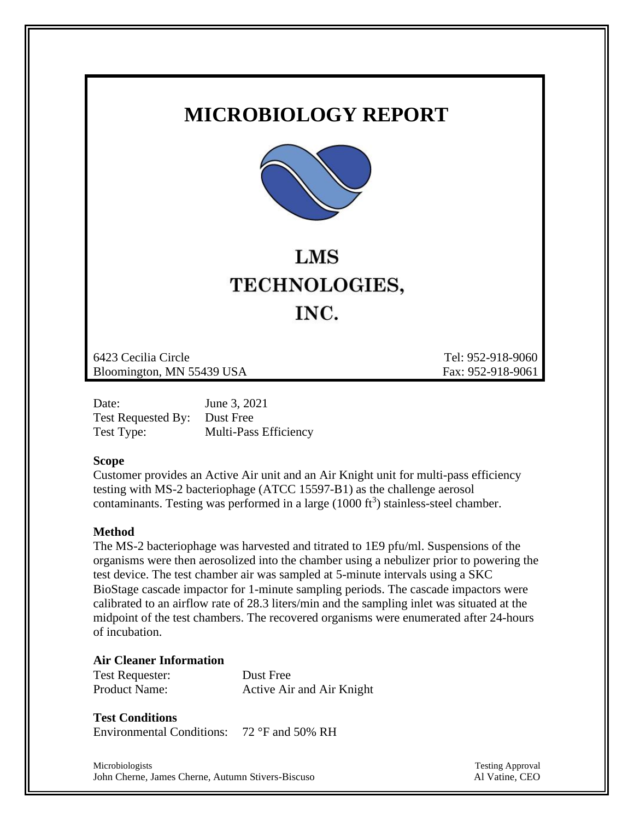## **MICROBIOLOGY REPORT**



# **LMS** TECHNOLOGIES, INC.

6423 Cecilia Circle Tel: 952-918-9060 Bloomington, MN 55439 USA Fax: 952-918-9061

| Date:                        | June 3, 2021                 |
|------------------------------|------------------------------|
| Test Requested By: Dust Free |                              |
| Test Type:                   | <b>Multi-Pass Efficiency</b> |

#### **Scope**

Customer provides an Active Air unit and an Air Knight unit for multi-pass efficiency testing with MS-2 bacteriophage (ATCC 15597-B1) as the challenge aerosol contaminants. Testing was performed in a large  $(1000 \text{ ft}^3)$  stainless-steel chamber.

#### **Method**

The MS-2 bacteriophage was harvested and titrated to 1E9 pfu/ml. Suspensions of the organisms were then aerosolized into the chamber using a nebulizer prior to powering the test device. The test chamber air was sampled at 5-minute intervals using a SKC BioStage cascade impactor for 1-minute sampling periods. The cascade impactors were calibrated to an airflow rate of 28.3 liters/min and the sampling inlet was situated at the midpoint of the test chambers. The recovered organisms were enumerated after 24-hours of incubation.

#### **Air Cleaner Information**

| <b>Test Requester:</b> | Dust Free                 |
|------------------------|---------------------------|
| <b>Product Name:</b>   | Active Air and Air Knight |

### **Test Conditions**

Environmental Conditions: 72 °F and 50% RH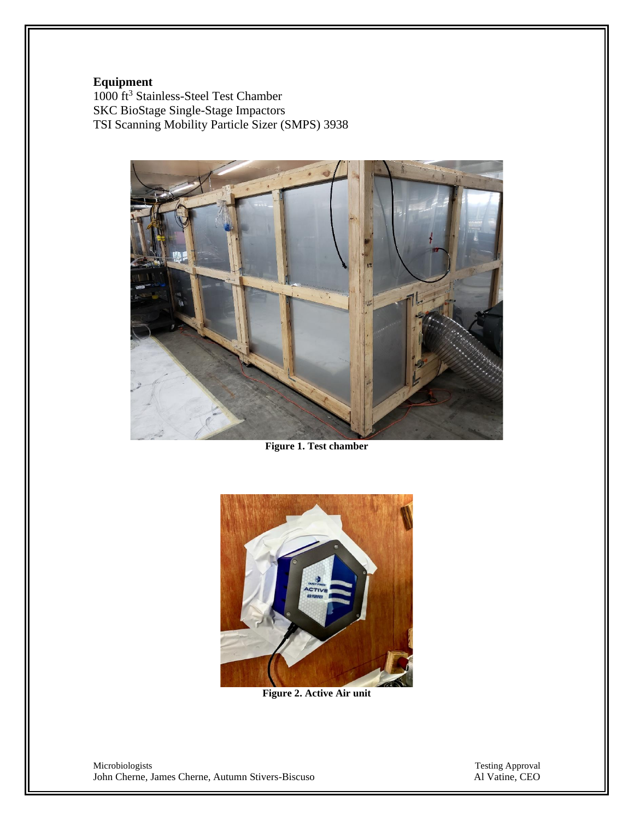#### **Equipment**

1000 ft<sup>3</sup> Stainless-Steel Test Chamber SKC BioStage Single-Stage Impactors TSI Scanning Mobility Particle Sizer (SMPS) 3938



**Figure 1. Test chamber**



**Figure 2. Active Air unit**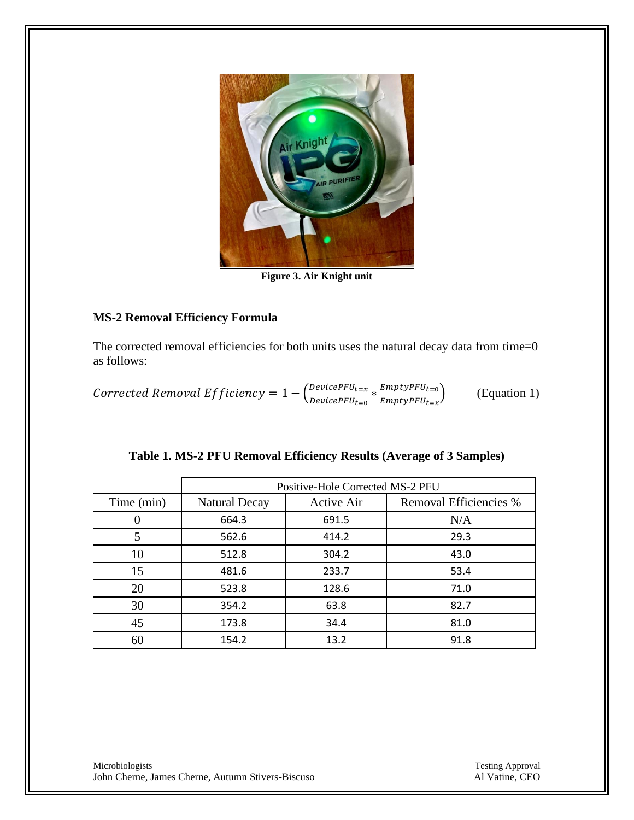

**Figure 3. Air Knight unit**

#### **MS-2 Removal Efficiency Formula**

The corrected removal efficiencies for both units uses the natural decay data from time=0 as follows:

Corrected Removal Efficiency =  $1 - \left(\frac{Device P FU_{t=x}}{Devise P EU}\right)$  $\frac{DevicePFU_{t=x}}{DevicePFU_{t=0}} * \frac{EmptyPFU_{t=0}}{EmptyPFU_{t=x}}$  $EmptyPFU_{t=x}$ ) (Equation 1)

|            | Positive-Hole Corrected MS-2 PFU |                   |                        |  |
|------------|----------------------------------|-------------------|------------------------|--|
| Time (min) | <b>Natural Decay</b>             | <b>Active Air</b> | Removal Efficiencies % |  |
|            | 664.3                            | 691.5             | N/A                    |  |
| 5          | 562.6                            | 414.2             | 29.3                   |  |
| 10         | 512.8                            | 304.2             | 43.0                   |  |
| 15         | 481.6                            | 233.7             | 53.4                   |  |
| 20         | 523.8                            | 128.6             | 71.0                   |  |
| 30         | 354.2                            | 63.8              | 82.7                   |  |
| 45         | 173.8                            | 34.4              | 81.0                   |  |
| 60         | 154.2                            | 13.2              | 91.8                   |  |

| Table 1. MS-2 PFU Removal Efficiency Results (Average of 3 Samples) |  |  |  |
|---------------------------------------------------------------------|--|--|--|
|                                                                     |  |  |  |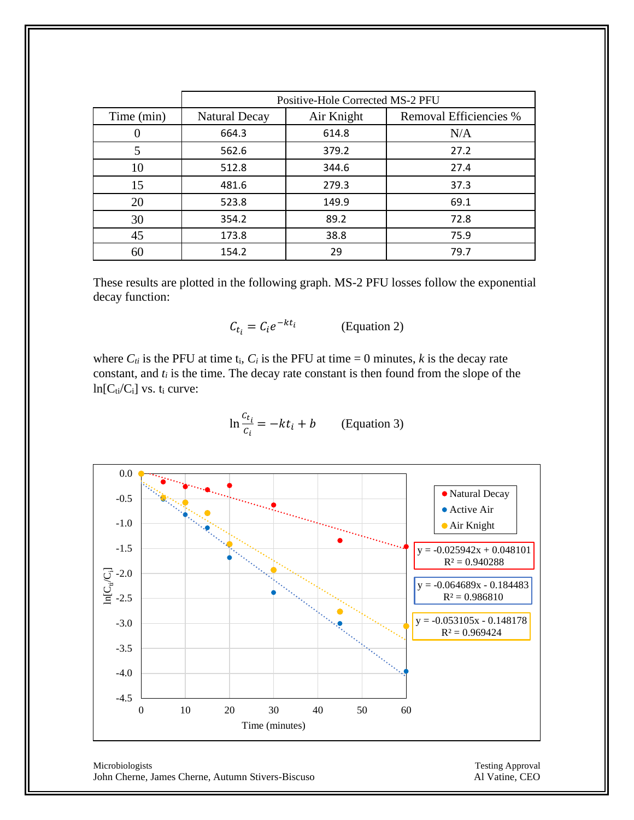|            | Positive-Hole Corrected MS-2 PFU |            |                        |  |
|------------|----------------------------------|------------|------------------------|--|
| Time (min) | <b>Natural Decay</b>             | Air Knight | Removal Efficiencies % |  |
|            | 664.3                            | 614.8      | N/A                    |  |
| 5          | 562.6                            | 379.2      | 27.2                   |  |
| 10         | 512.8                            | 344.6      | 27.4                   |  |
| 15         | 481.6                            | 279.3      | 37.3                   |  |
| 20         | 523.8                            | 149.9      | 69.1                   |  |
| 30         | 354.2                            | 89.2       | 72.8                   |  |
| 45         | 173.8                            | 38.8       | 75.9                   |  |
| 60         | 154.2                            | 29         | 79.7                   |  |

These results are plotted in the following graph. MS-2 PFU losses follow the exponential decay function:

$$
C_{t_i} = C_i e^{-kt_i}
$$
 (Equation 2)

where  $C_{ti}$  is the PFU at time  $t_i$ ,  $C_i$  is the PFU at time = 0 minutes,  $k$  is the decay rate constant, and *t<sup>i</sup>* is the time. The decay rate constant is then found from the slope of the  $ln[C_i/C_i]$  vs. t<sub>i</sub> curve:

$$
\ln \frac{c_{t_i}}{c_i} = -kt_i + b \qquad \text{(Equation 3)}
$$

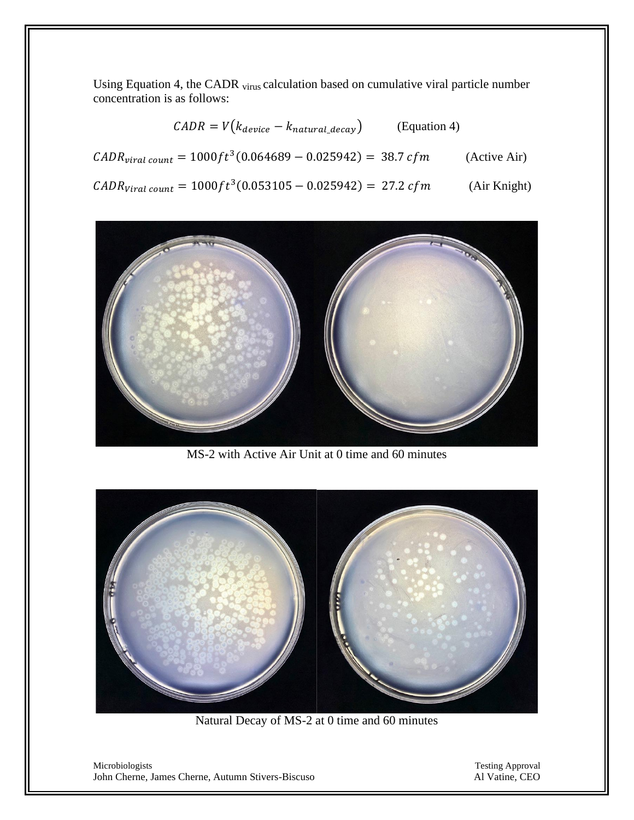Using Equation 4, the CADR virus calculation based on cumulative viral particle number concentration is as follows:

| $\mathcal{C}ADR = V(k_{device} - k_{natural\_decay})$<br>(Equation 4)                          |              |
|------------------------------------------------------------------------------------------------|--------------|
| $\text{CADR}_{\text{viral count}} = 1000 \text{ft}^3 (0.064689 - 0.025942) = 38.7 \text{ cfm}$ | (Active Air) |
| $\text{CADR}_{\text{Viral count}} = 1000 \text{ft}^3 (0.053105 - 0.025942) = 27.2 \text{ cfm}$ | (Air Knight) |



MS-2 with Active Air Unit at 0 time and 60 minutes



Natural Decay of MS-2 at 0 time and 60 minutes